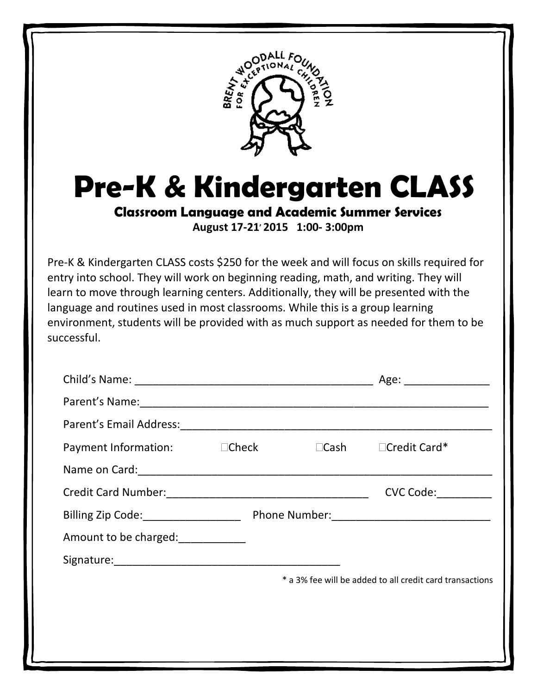

**Pre-K & Kindergarten CLASS**

**Classroom Language and Academic Summer Services**

**August 17-21, 2015 1:00- 3:00pm**

Pre-K & Kindergarten CLASS costs \$250 for the week and will focus on skills required for entry into school. They will work on beginning reading, math, and writing. They will learn to move through learning centers. Additionally, they will be presented with the language and routines used in most classrooms. While this is a group learning environment, students will be provided with as much support as needed for them to be successful.

|  | Age: _________________                                   |
|--|----------------------------------------------------------|
|  |                                                          |
|  |                                                          |
|  | $\Box$ Cash $\Box$ Credit Card*                          |
|  |                                                          |
|  | CVC Code:                                                |
|  |                                                          |
|  |                                                          |
|  |                                                          |
|  | * a 3% fee will be added to all credit card transactions |
|  |                                                          |
|  |                                                          |
|  |                                                          |